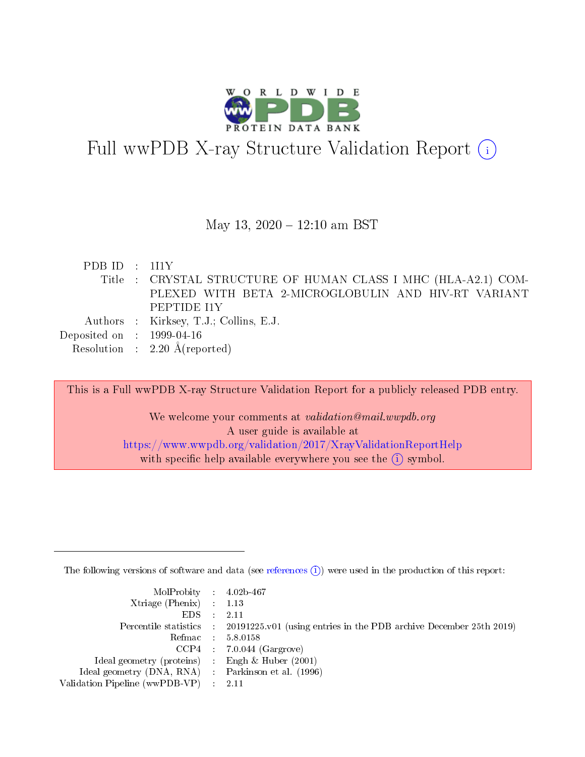

## Full wwPDB X-ray Structure Validation Report (i)

#### May 13,  $2020 - 12:10$  am BST

| PDBID : 111Y                |                                                               |
|-----------------------------|---------------------------------------------------------------|
|                             | Title: CRYSTAL STRUCTURE OF HUMAN CLASS I MHC (HLA-A2.1) COM- |
|                             | PLEXED WITH BETA 2-MICROGLOBULIN AND HIV-RT VARIANT           |
|                             | PEPTIDE I1Y                                                   |
|                             | Authors : Kirksey, T.J.; Collins, E.J.                        |
| Deposited on : $1999-04-16$ |                                                               |
|                             | Resolution : $2.20 \text{ Å}$ (reported)                      |

This is a Full wwPDB X-ray Structure Validation Report for a publicly released PDB entry.

We welcome your comments at validation@mail.wwpdb.org A user guide is available at <https://www.wwpdb.org/validation/2017/XrayValidationReportHelp> with specific help available everywhere you see the  $(i)$  symbol.

The following versions of software and data (see [references](https://www.wwpdb.org/validation/2017/XrayValidationReportHelp#references)  $(i)$ ) were used in the production of this report:

| $MolProbability$ 4.02b-467<br>Xtriage (Phenix) $: 1.13$ |                                                                                                     |
|---------------------------------------------------------|-----------------------------------------------------------------------------------------------------|
| $EDS$ :                                                 | -2.11<br>Percentile statistics : 20191225.v01 (using entries in the PDB archive December 25th 2019) |
|                                                         | Refmac : 5.8.0158                                                                                   |
|                                                         | $CCP4$ : 7.0.044 (Gargrove)                                                                         |
| Ideal geometry (proteins) : Engh $\&$ Huber (2001)      |                                                                                                     |
| Ideal geometry (DNA, RNA) : Parkinson et al. (1996)     |                                                                                                     |
| Validation Pipeline (wwPDB-VP) :                        | -2.11                                                                                               |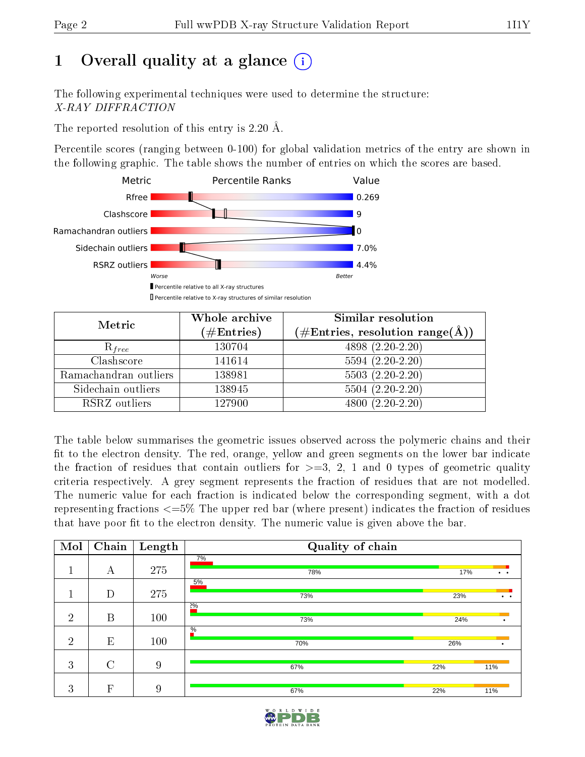## 1 [O](https://www.wwpdb.org/validation/2017/XrayValidationReportHelp#overall_quality)verall quality at a glance  $(i)$

The following experimental techniques were used to determine the structure: X-RAY DIFFRACTION

The reported resolution of this entry is 2.20 Å.

Percentile scores (ranging between 0-100) for global validation metrics of the entry are shown in the following graphic. The table shows the number of entries on which the scores are based.



| Metric                | Whole archive<br>$(\#\text{Entries})$ | Similar resolution<br>$(\#\text{Entries},\,\text{resolution}\,\,\text{range}(\textup{\AA}))$ |  |  |
|-----------------------|---------------------------------------|----------------------------------------------------------------------------------------------|--|--|
| $R_{free}$            | 130704                                | 4898 (2.20-2.20)                                                                             |  |  |
| Clashscore            | 141614                                | $5594(2.20-2.20)$                                                                            |  |  |
| Ramachandran outliers | 138981                                | $5503 (2.20-2.20)$                                                                           |  |  |
| Sidechain outliers    | 138945                                | $5504(2.20-2.20)$                                                                            |  |  |
| RSRZ outliers         | 127900                                | $4800(2.20-2.20)$                                                                            |  |  |

The table below summarises the geometric issues observed across the polymeric chains and their fit to the electron density. The red, orange, yellow and green segments on the lower bar indicate the fraction of residues that contain outliers for  $>=3, 2, 1$  and 0 types of geometric quality criteria respectively. A grey segment represents the fraction of residues that are not modelled. The numeric value for each fraction is indicated below the corresponding segment, with a dot representing fractions  $\epsilon=5\%$  The upper red bar (where present) indicates the fraction of residues that have poor fit to the electron density. The numeric value is given above the bar.

| Mol            | Chain            | Length | Quality of chain     |     |                      |
|----------------|------------------|--------|----------------------|-----|----------------------|
|                | А                | 275    | 7%<br>78%            | 17% | $\bullet$ $\bullet$  |
|                | D                | 275    | 5%<br>73%            | 23% | $\ddot{\phantom{a}}$ |
| $\overline{2}$ | $\boldsymbol{B}$ | 100    | $2\%$<br>73%         | 24% |                      |
| $\overline{2}$ | E                | 100    | $\frac{0}{6}$<br>70% | 26% |                      |
| 3              | $\rm C$          | 9      | 67%                  | 22% | 11%                  |
| 3              | F                | 9      | 67%                  | 22% | 11%                  |

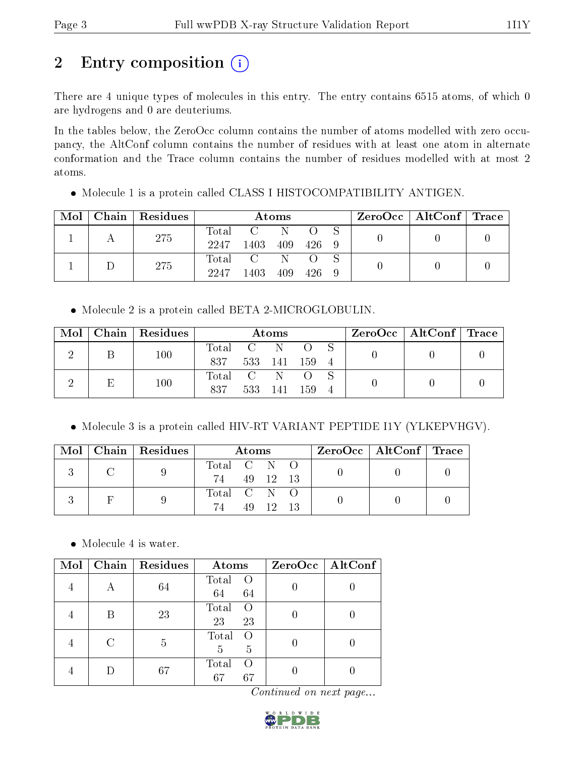## 2 Entry composition (i)

There are 4 unique types of molecules in this entry. The entry contains 6515 atoms, of which 0 are hydrogens and 0 are deuteriums.

In the tables below, the ZeroOcc column contains the number of atoms modelled with zero occupancy, the AltConf column contains the number of residues with at least one atom in alternate conformation and the Trace column contains the number of residues modelled with at most 2 atoms.

• Molecule 1 is a protein called CLASS I HISTOCOMPATIBILITY ANTIGEN.  $\text{Mol} \mid \text{Chain} \mid \text{Residues} \mid \text{ \textit{Atoms} } \mid \text{ZeroOcc} \mid \text{AltConf} \mid \text{Trace}$ 

| Mol |     | Chain   Residues | Atoms |      |     |     | ZeroOcc   AltConf   Trace |  |  |  |
|-----|-----|------------------|-------|------|-----|-----|---------------------------|--|--|--|
|     |     |                  | Total |      |     |     |                           |  |  |  |
|     | 275 | 2247             | 1403  | 409  | 426 | - 9 |                           |  |  |  |
|     |     | 275              | Total |      |     |     |                           |  |  |  |
|     |     |                  | 2247  | 1403 | 409 | 426 | 9                         |  |  |  |

Molecule 2 is a protein called BETA 2-MICROGLOBULIN.

| Mol | Chain   Residues | $\rm{Atoms}$ |         |     |       | $\rm ZeroOcc \mid AltConf \mid Trace$ |  |  |  |
|-----|------------------|--------------|---------|-----|-------|---------------------------------------|--|--|--|
|     | 100              | Total        |         | -N  |       |                                       |  |  |  |
|     |                  | 837          | 533 141 |     | - 159 | $\overline{4}$                        |  |  |  |
|     | 100              | Total        |         | -N  |       |                                       |  |  |  |
|     |                  | 837          | 533     | 141 | - 159 | $\overline{4}$                        |  |  |  |

Molecule 3 is a protein called HIV-RT VARIANT PEPTIDE I1Y (YLKEPVHGV).

|  | $\text{Mol}$   Chain   Residues | Atoms                         |  | $\text{ZeroOcc} \mid \text{AltConf} \mid \text{Trace}$ |  |
|--|---------------------------------|-------------------------------|--|--------------------------------------------------------|--|
|  |                                 | Total C N O<br>74 49 12 13    |  |                                                        |  |
|  |                                 | Total C N O<br>74<br>49 12 13 |  |                                                        |  |

• Molecule 4 is water.

| Mol | $\overline{\text{Chain}}$ | Residues | Atoms                                 | $ZeroOcc \   \$ AltConf |
|-----|---------------------------|----------|---------------------------------------|-------------------------|
|     | А                         | 64       | Total<br>$\bigcirc$<br>64<br>64       |                         |
|     | B                         | 23       | Total<br>$\Omega$<br>23<br>23         |                         |
|     |                           | 5        | Total<br>$\Omega$<br>5<br>5           |                         |
|     |                           | 67       | Total<br>$\left( \right)$<br>67<br>67 |                         |

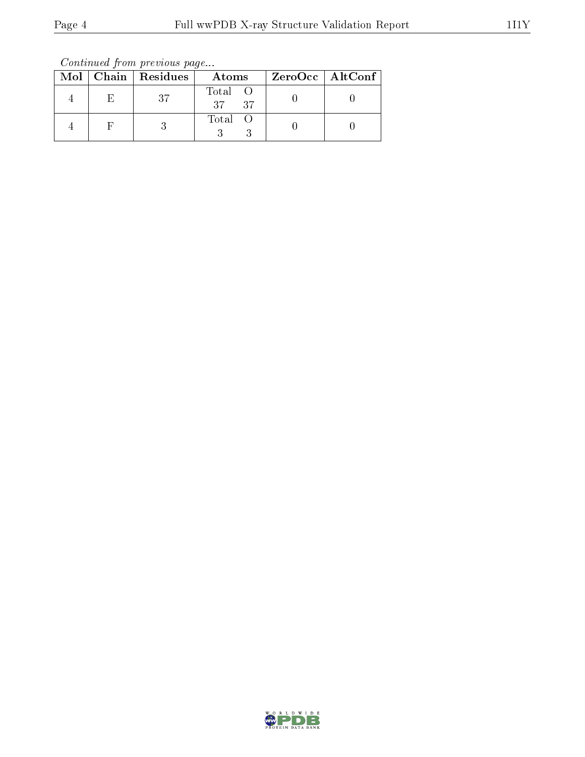Continued from previous page...

|  | Mol   Chain   Residues | Atoms            | ZeroOcc   AltConf |
|--|------------------------|------------------|-------------------|
|  |                        | Total O<br>37 37 |                   |
|  |                        | Total O          |                   |

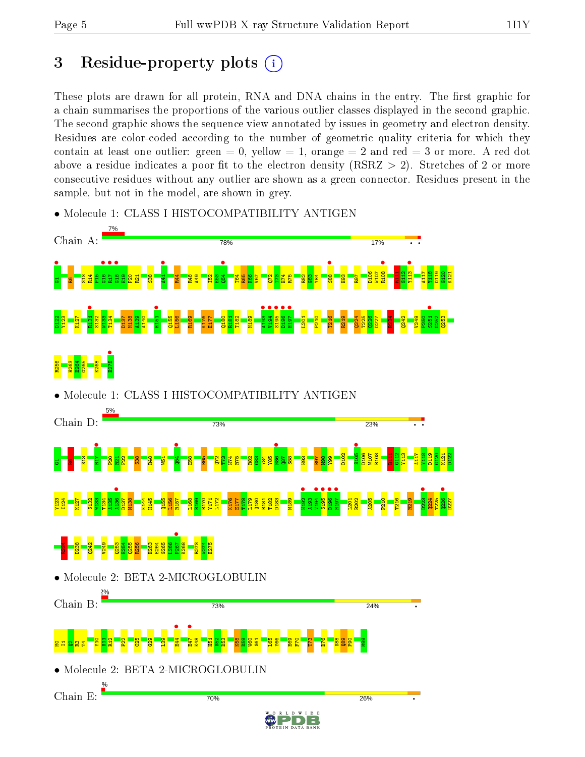## 3 Residue-property plots  $(i)$

These plots are drawn for all protein, RNA and DNA chains in the entry. The first graphic for a chain summarises the proportions of the various outlier classes displayed in the second graphic. The second graphic shows the sequence view annotated by issues in geometry and electron density. Residues are color-coded according to the number of geometric quality criteria for which they contain at least one outlier: green  $= 0$ , yellow  $= 1$ , orange  $= 2$  and red  $= 3$  or more. A red dot above a residue indicates a poor fit to the electron density (RSRZ  $> 2$ ). Stretches of 2 or more consecutive residues without any outlier are shown as a green connector. Residues present in the sample, but not in the model, are shown in grey.



• Molecule 1: CLASS I HISTOCOMPATIBILITY ANTIGEN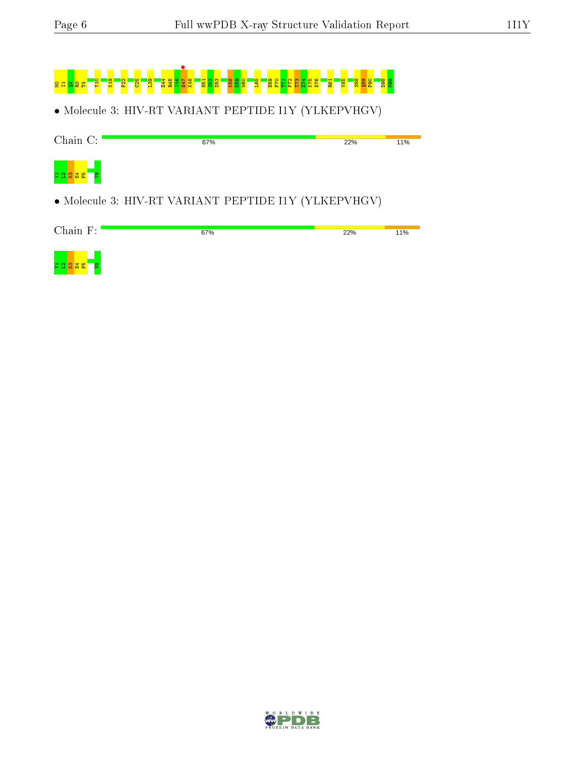# M0I1Q2R3T4Y10 K19 F22 C25 L39 E44 R45 I46 E47 • K48 H51 S52 D53 K58 D59 W60 L65 E69 F70 T71 P72 T73 E74 K75 D76 R81 V85 S88 Q89 P90 D98 M99

• Molecule 3: HIV-RT VARIANT PEPTIDE I1Y (YLKEPVHGV)

| Chain C:                     | 67%                                                  | 22% | 11% |
|------------------------------|------------------------------------------------------|-----|-----|
| <mark>ង ផ្ង ឆ្ង ឌ ៀ ខ</mark> |                                                      |     |     |
|                              | • Molecule 3: HIV-RT VARIANT PEPTIDE I1Y (YLKEPVHGV) |     |     |



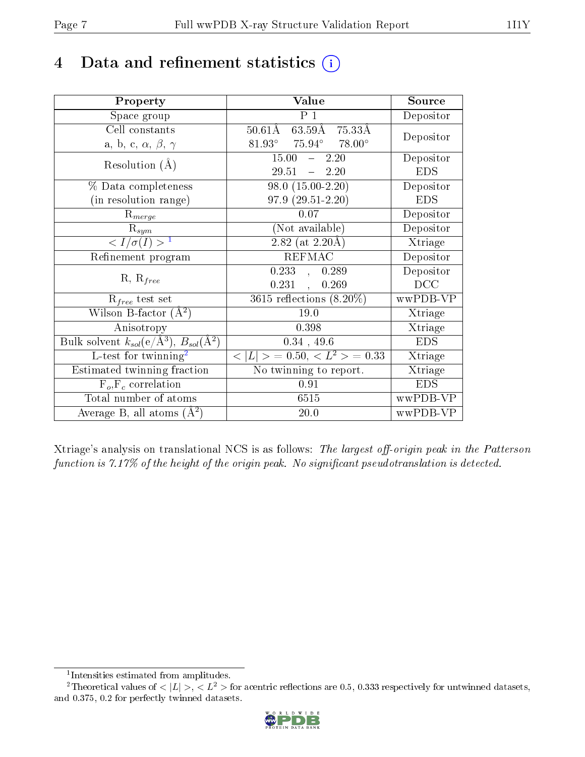## 4 Data and refinement statistics  $(i)$

| Property                                                                 | Value                                           | Source     |
|--------------------------------------------------------------------------|-------------------------------------------------|------------|
| Space group                                                              | P <sub>1</sub>                                  | Depositor  |
| Cell constants                                                           | $50.61\text{\AA}$ 63.59Å 75.33Å                 | Depositor  |
| a, b, c, $\alpha$ , $\beta$ , $\gamma$                                   | $81.93^{\circ}$ $75.94^{\circ}$ $78.00^{\circ}$ |            |
| Resolution $(A)$                                                         | 15.00<br>$-2.20$                                | Depositor  |
|                                                                          | $29.51 - 2.20$                                  | <b>EDS</b> |
| % Data completeness                                                      | $98.0(15.00-2.20)$                              | Depositor  |
| (in resolution range)                                                    | $97.9(29.51-2.20)$                              | <b>EDS</b> |
| $R_{merge}$                                                              | 0.07                                            | Depositor  |
| $\mathrm{R}_{sym}$                                                       | (Not available)                                 | Depositor  |
| $\langle I/\sigma(I) \rangle^{-1}$                                       | $2.82$ (at 2.20Å)                               | Xtriage    |
| Refinement program                                                       | <b>REFMAC</b>                                   | Depositor  |
|                                                                          | 0.233,<br>0.289                                 | Depositor  |
| $R, R_{free}$                                                            | $0.231$ ,<br>0.269                              | DCC        |
| $R_{free}$ test set                                                      | $3615$ reflections $(8.20\%)$                   | wwPDB-VP   |
| Wilson B-factor $(\AA^2)$                                                | $19.0\,$                                        | Xtriage    |
| Anisotropy                                                               | 0.398                                           | Xtriage    |
| Bulk solvent $k_{sol}(\mathrm{e}/\mathrm{A}^3),$ $B_{sol}(\mathrm{A}^2)$ | $0.34$ , 49.6                                   | <b>EDS</b> |
| L-test for $\mathrm{twinning}^2$                                         | $< L >$ = 0.50, $< L^2 >$ = 0.33                | Xtriage    |
| Estimated twinning fraction                                              | No twinning to report.                          | Xtriage    |
| $F_o, F_c$ correlation                                                   | 0.91                                            | <b>EDS</b> |
| Total number of atoms                                                    | 6515                                            | wwPDB-VP   |
| Average B, all atoms $(A^2)$                                             | 20.0                                            | wwPDB-VP   |

Xtriage's analysis on translational NCS is as follows: The largest off-origin peak in the Patterson function is  $7.17\%$  of the height of the origin peak. No significant pseudotranslation is detected.

<sup>&</sup>lt;sup>2</sup>Theoretical values of  $\langle |L| \rangle$ ,  $\langle L^2 \rangle$  for acentric reflections are 0.5, 0.333 respectively for untwinned datasets, and 0.375, 0.2 for perfectly twinned datasets.



<span id="page-6-1"></span><span id="page-6-0"></span><sup>1</sup> Intensities estimated from amplitudes.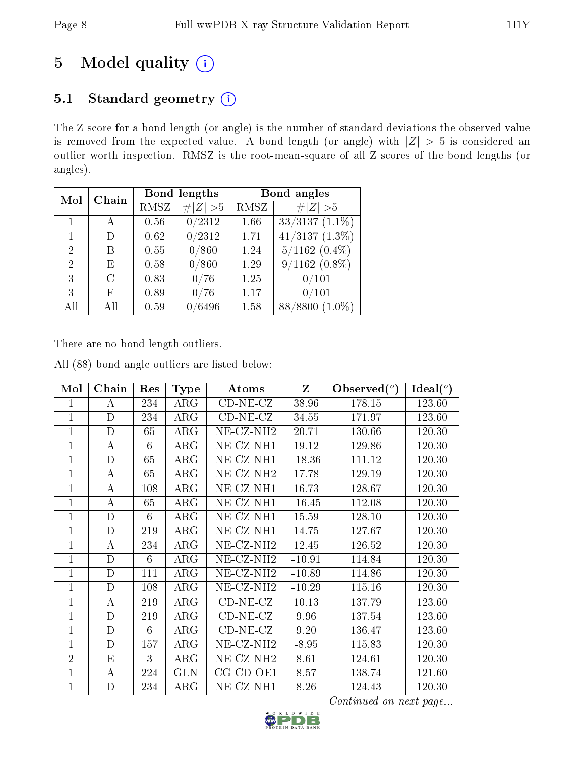## 5 Model quality  $(i)$

### 5.1 Standard geometry (i)

The Z score for a bond length (or angle) is the number of standard deviations the observed value is removed from the expected value. A bond length (or angle) with  $|Z| > 5$  is considered an outlier worth inspection. RMSZ is the root-mean-square of all Z scores of the bond lengths (or angles).

| Mol            | Chain         |      | Bond lengths | Bond angles |                             |  |
|----------------|---------------|------|--------------|-------------|-----------------------------|--|
|                |               | RMSZ | # $ Z  > 5$  | RMSZ        | # $ Z  > 5$                 |  |
|                |               | 0.56 | 0/2312       | 1.66        | $33/3137(1.1\%)$            |  |
| 1              | D             | 0.62 | 0/2312       | 1.71        | $\overline{41/3137(1.3\%)}$ |  |
| $\overline{2}$ | В             | 0.55 | 0/860        | 1.24        | $5/1162(0.4\%)$             |  |
| 2              | Е             | 0.58 | 0/860        | 1.29        | $9/1162(0.8\%)$             |  |
| 3              | $\mathcal{C}$ | 0.83 | 0/76         | 1.25        | 0/101                       |  |
| 3              | F             | 0.89 | 0/76         | 1.17        | 0/101                       |  |
| All            | All           | 0.59 | /6496        | 1.58        | 88/8800<br>$(1.0\%)$        |  |

There are no bond length outliers.

All (88) bond angle outliers are listed below:

| Mol            | Chain       | Res | Type       | $\boldsymbol{\mathrm{Atoms}}$ | $\mathbf{Z}$ | Observed $(°)$ | $Ideal(^o)$ |
|----------------|-------------|-----|------------|-------------------------------|--------------|----------------|-------------|
| 1              | A           | 234 | $\rm{ARG}$ | $CD-NE- CZ$                   | 38.96        | 178.15         | 123.60      |
| $\mathbf{1}$   | $\mathbf D$ | 234 | $\rm{ARG}$ | $CD-NE- CZ$                   | 34.55        | 171.97         | 123.60      |
| $\mathbf{1}$   | D           | 65  | $\rm{ARG}$ | NE-CZ-NH <sub>2</sub>         | 20.71        | 130.66         | 120.30      |
| $\mathbf{1}$   | А           | 6   | $\rm{ARG}$ | NE-CZ-NH1                     | 19.12        | 129.86         | 120.30      |
| $\mathbf{1}$   | $\mathbf D$ | 65  | $\rm{ARG}$ | NE-CZ-NH1                     | $-18.36$     | 111.12         | 120.30      |
| $\mathbf{1}$   | А           | 65  | ARG        | NE-CZ-NH <sub>2</sub>         | 17.78        | 129.19         | 120.30      |
| $\mathbf{1}$   | А           | 108 | $\rm{ARG}$ | NE-CZ-NH1                     | 16.73        | 128.67         | 120.30      |
| $\mathbf{1}$   | A           | 65  | $\rm{ARG}$ | NE-CZ-NH1                     | $-16.45$     | 112.08         | 120.30      |
| $\mathbf{1}$   | $\mathbf D$ | 6   | ARG        | NE-CZ-NH1                     | 15.59        | 128.10         | 120.30      |
| 1              | $\mathbf D$ | 219 | $\rm{ARG}$ | NE-CZ-NH1                     | 14.75        | 127.67         | 120.30      |
| $\mathbf{1}$   | А           | 234 | $\rm{ARG}$ | $NE-CZ-NH2$                   | 12.45        | 126.52         | 120.30      |
| $\mathbf{1}$   | $\mathbf D$ | 6   | ARG        | NE-CZ-NH <sub>2</sub>         | $-10.91$     | 114.84         | 120.30      |
| $\mathbf{1}$   | $\mathbf D$ | 111 | $\rm{ARG}$ | NE-CZ-NH <sub>2</sub>         | $-10.89$     | 114.86         | 120.30      |
| $\mathbf{1}$   | D           | 108 | $\rm{ARG}$ | NE-CZ-NH <sub>2</sub>         | $-10.29$     | 115.16         | 120.30      |
| $\mathbf 1$    | А           | 219 | $\rm{ARG}$ | $CD-NE- CZ$                   | 10.13        | 137.79         | 123.60      |
| $\mathbf{1}$   | D           | 219 | $\rm{ARG}$ | $CD-NE- CZ$                   | 9.96         | 137.54         | 123.60      |
| $\overline{1}$ | D           | 6   | $\rm{ARG}$ | $CD-NE- CZ$                   | 9.20         | 136.47         | 123.60      |
| $\mathbf{1}$   | $\mathbf D$ | 157 | $\rm{ARG}$ | NE-CZ-NH <sub>2</sub>         | $-8.95$      | 115.83         | 120.30      |
| $\overline{2}$ | E           | 3   | $\rm{ARG}$ | NE-CZ-NH <sub>2</sub>         | 8.61         | 124.61         | 120.30      |
| $\mathbf 1$    | А           | 224 | <b>GLN</b> | $CG$ - $CD$ - $OE1$           | 8.57         | 138.74         | 121.60      |
| $\mathbf 1$    | D           | 234 | $\rm{ARG}$ | $NE- CZ-NH1$                  | 8.26         | 124.43         | 120.30      |

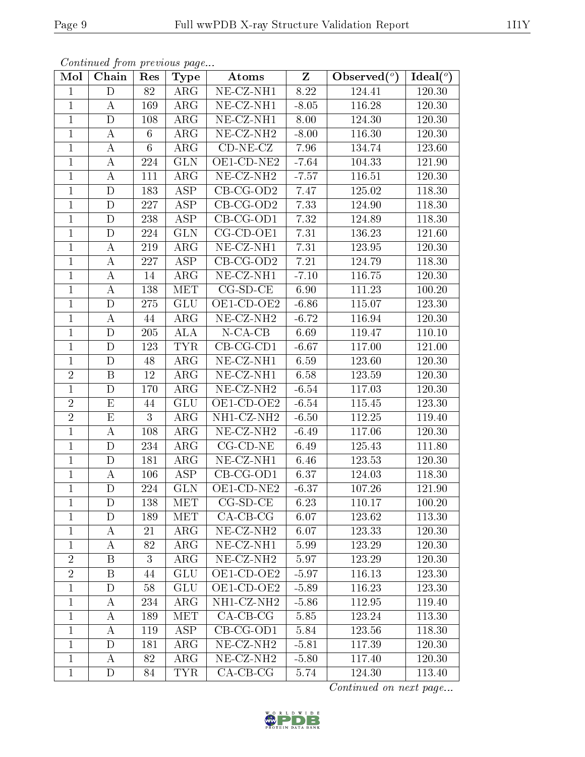| Mol            | Chain                   | Res             | <b>Type</b>             | Atoms                                 | $Z_{\parallel}$ | Observed $\overline{(^{\circ})}$ | Ideal( $\overline{^o}$ ) |
|----------------|-------------------------|-----------------|-------------------------|---------------------------------------|-----------------|----------------------------------|--------------------------|
| 1              | D                       | 82              | $\rm{ARG}$              | $\overline{\text{NE- CZ-NH1}}$        | 8.22            | 124.41                           | 120.30                   |
| $\mathbf{1}$   | A                       | 169             | $\rm{ARG}$              | NE-CZ-NH1                             | $-8.05$         | 116.28                           | 120.30                   |
| $\mathbf{1}$   | $\mathbf D$             | 108             | $\rm{ARG}$              | NE-CZ-NH1                             | 8.00            | 124.30                           | 120.30                   |
| $\mathbf{1}$   | $\boldsymbol{A}$        | 6               | $\rm{ARG}$              | NE-CZ-NH <sub>2</sub>                 | $-8.00$         | 116.30                           | 120.30                   |
| $\overline{1}$ | $\overline{\rm A}$      | $6\phantom{.}6$ | $\rm{ARG}$              | $CD-NE- CZ$                           | 7.96            | 134.74                           | 123.60                   |
| $\mathbf{1}$   | $\boldsymbol{A}$        | 224             | <b>GLN</b>              | OE1-CD-NE2                            | $-7.64$         | 104.33                           | 121.90                   |
| $\mathbf{1}$   | $\boldsymbol{A}$        | 111             | $\rm{ARG}$              | NE-CZ-NH <sub>2</sub>                 | $-7.57$         | 116.51                           | 120.30                   |
| $\mathbf{1}$   | D                       | 183             | <b>ASP</b>              | $CB-CG-OD2$                           | 7.47            | 125.02                           | 118.30                   |
| $\mathbf{1}$   | $\mathbf D$             | 227             | <b>ASP</b>              | $CB-CG-OD2$                           | 7.33            | 124.90                           | 118.30                   |
| $\overline{1}$ | $\mathbf D$             | 238             | $\overline{\text{ASP}}$ | $CB-CG-OD1$                           | 7.32            | 124.89                           | 118.30                   |
| $\mathbf{1}$   | $\mathbf D$             | 224             | <b>GLN</b>              | CG-CD-OE1                             | 7.31            | 136.23                           | 121.60                   |
| $\mathbf{1}$   | $\bf{A}$                | 219             | $\rm{ARG}$              | $\overline{\text{NE- CZ-N}}\text{H1}$ | 7.31            | 123.95                           | 120.30                   |
| $\mathbf{1}$   | $\boldsymbol{A}$        | 227             | <b>ASP</b>              | $CB-CG-OD2$                           | $7.21\,$        | 124.79                           | 118.30                   |
| $\mathbf{1}$   | А                       | 14              | $\rm{ARG}$              | NE-CZ-NH1                             | $-7.10$         | 116.75                           | 120.30                   |
| $\mathbf{1}$   | А                       | 138             | <b>MET</b>              | $CG-SD-CE$                            | 6.90            | 111.23                           | 100.20                   |
| $\mathbf{1}$   | D                       | 275             | <b>GLU</b>              | OE1-CD-OE2                            | $-6.86$         | 115.07                           | 123.30                   |
| $\mathbf{1}$   | А                       | 44              | $\rm{ARG}$              | $NE- CZ-NH2$                          | $-6.72$         | 116.94                           | 120.30                   |
| $\mathbf{1}$   | D                       | 205             | ALA                     | $N$ -CA-CB                            | 6.69            | 119.47                           | 110.10                   |
| $\mathbf{1}$   | D                       | 123             | <b>TYR</b>              | $CB-CG-CD1$                           | $-6.67$         | 117.00                           | 121.00                   |
| $\mathbf{1}$   | $\mathbf D$             | 48              | $\rm{ARG}$              | NE-CZ-NH1                             | 6.59            | 123.60                           | 120.30                   |
| $\sqrt{2}$     | B                       | 12              | $\rm{ARG}$              | NE-CZ-NH1                             | 6.58            | 123.59                           | 120.30                   |
| $\mathbf{1}$   | $\mathbf D$             | 170             | $AR\overline{G}$        | $NE- CZ-NH2$                          | $-6.54$         | 117.03                           | 120.30                   |
| $\overline{2}$ | E                       | 44              | <b>GLU</b>              | OE1-CD-OE2                            | $-6.54$         | 115.45                           | 123.30                   |
| $\overline{2}$ | $\overline{\mathrm{E}}$ | $\overline{3}$  | $\rm{ARG}$              | NH1-CZ-NH2                            | $-6.50$         | 112.25                           | 119.40                   |
| $\mathbf{1}$   | $\bf{A}$                | 108             | $\rm{ARG}$              | NE-CZ-NH <sub>2</sub>                 | $-6.49$         | 117.06                           | 120.30                   |
| $\mathbf{1}$   | D                       | 234             | ARG                     | $CG$ - $CD$ - $NE$                    | 6.49            | 125.43                           | 111.80                   |
| $\mathbf{1}$   | $\mathbf D$             | 181             | $\rm{ARG}$              | NE-CZ-NH1                             | 6.46            | 123.53                           | $120.30\,$               |
| $\mathbf{1}$   | $\boldsymbol{A}$        | 106             | ASP                     | $CB-CG-OD1$                           | 6.37            | 124.03                           | 118.30                   |
| $\overline{1}$ | $\mathbf D$             | 224             | GLN                     | OE1-CD-NE2                            | $-6.37$         | 107.26                           | 121.90                   |
| $\mathbf{1}$   | D                       | 138             | MET                     | $CG-SD-CE$                            | 6.23            | 110.17                           | 100.20                   |
| 1              | D                       | 189             | <b>MET</b>              | $CA-CB-CG$                            | 6.07            | 123.62                           | 113.30                   |
| $\mathbf{1}$   | А                       | 21              | $\rm{ARG}$              | NE-CZ-NH <sub>2</sub>                 | 6.07            | 123.33                           | 120.30                   |
| $\mathbf{1}$   | А                       | 82              | $\rm{ARG}$              | NE-CZ-NH1                             | 5.99            | 123.29                           | 120.30                   |
| $\overline{2}$ | $\mathbf{B}$            | 3               | $\rm{ARG}$              | NE-CZ-NH <sub>2</sub>                 | 5.97            | 123.29                           | 120.30                   |
| $\sqrt{2}$     | Β                       | 44              | GLU                     | OE1-CD-OE2                            | $-5.97$         | 116.13                           | 123.30                   |
| $\mathbf{1}$   | D                       | 58              | <b>GLU</b>              | OE1-CD-OE2                            | $-5.89$         | 116.23                           | 123.30                   |
| $\mathbf{1}$   | А                       | 234             | $\rm{ARG}$              | NH1-CZ-NH2                            | $-5.86$         | 112.95                           | 119.40                   |
| $\mathbf{1}$   | А                       | 189             | <b>MET</b>              | $CA-CB-CG$                            | 5.85            | 123.24                           | 113.30                   |
| $\mathbf{1}$   | A                       | 119             | ASP                     | $CB-CG-OD1$                           | 5.84            | 123.56                           | 118.30                   |
| $\mathbf{1}$   | D                       | 181             | $\rm{ARG}$              | NE-CZ-NH <sub>2</sub>                 | $-5.81$         | 117.39                           | 120.30                   |
| $\mathbf{1}$   | A                       | 82              | ARG                     | NE-CZ-NH <sub>2</sub>                 | $-5.80$         | 117.40                           | 120.30                   |
| $\mathbf{1}$   | D                       | 84              | <b>TYR</b>              | $CA-CB-CG$                            | 5.74            | 124.30                           | 113.40                   |

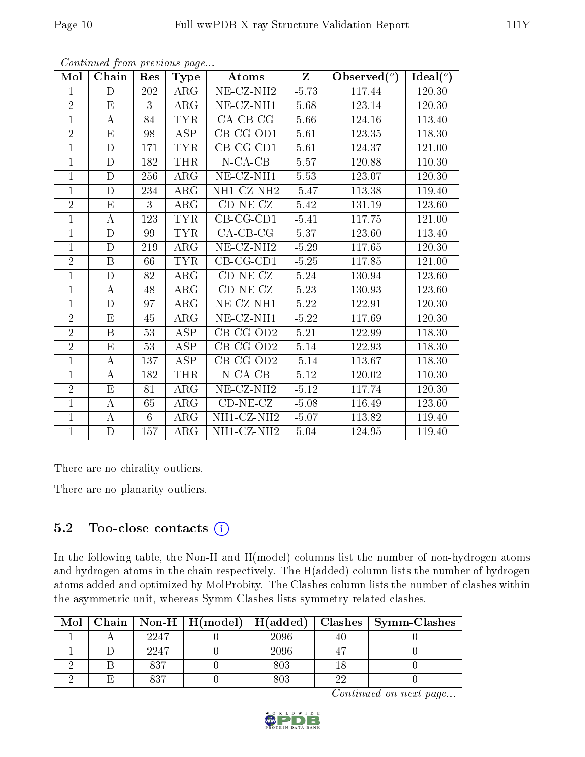| Mol            | Chain            | Res | <b>Type</b>             | Atoms                                        | $Z_{\parallel}$ | Observed $(°)$ | Ideal $(°)$ |
|----------------|------------------|-----|-------------------------|----------------------------------------------|-----------------|----------------|-------------|
| $\mathbf{1}$   | D                | 202 | $\rm{ARG}$              | $\overline{\text{NE- CZ-NH2}}$               | $-5.73$         | 117.44         | 120.30      |
| $\overline{2}$ | E                | 3   | $\rm{ARG}$              | NE-CZ-NH1                                    | 5.68            | 123.14         | 120.30      |
| $\mathbf{1}$   | $\bf{A}$         | 84  | <b>TYR</b>              | $CA-CB-CG$                                   | 5.66            | 124.16         | 113.40      |
| $\overline{2}$ | E                | 98  | ASP                     | $CB-CG-OD1$                                  | 5.61            | 123.35         | 118.30      |
| $\mathbf{1}$   | $\mathbf D$      | 171 | <b>TYR</b>              | $CB-CG-CD1$                                  | 5.61            | 124.37         | 121.00      |
| $\mathbf{1}$   | D                | 182 | THR                     | $N$ -CA-CB                                   | 5.57            | 120.88         | 110.30      |
| $\mathbf{1}$   | $\mathbf D$      | 256 | $\rm{ARG}$              | $NE- CZ-NH1$                                 | 5.53            | 123.07         | 120.30      |
| $\mathbf{1}$   | D                | 234 | $\rm{ARG}$              | $\overline{\text{NH}}1\text{-}\text{CZ-NH2}$ | $-5.47$         | 113.38         | 119.40      |
| $\overline{2}$ | ${\bf E}$        | 3   | $\rm{ARG}$              | $CD-NE- CZ$                                  | 5.42            | 131.19         | 123.60      |
| $\overline{1}$ | A                | 123 | <b>TYR</b>              | $\overline{\text{CB-CG-CD1}}$                | $-5.41$         | 117.75         | 121.00      |
| $\mathbf{1}$   | D                | 99  | TYR.                    | $CA-CB-CG$                                   | 5.37            | 123.60         | 113.40      |
| $\mathbf{1}$   | $\mathbf D$      | 219 | $\rm{ARG}$              | $NE- CZ-NH2$                                 | $-5.29$         | 117.65         | 120.30      |
| $\overline{2}$ | B                | 66  | <b>TYR</b>              | $CB-CG-CD1$                                  | $-5.25$         | 117.85         | 121.00      |
| $\mathbf{1}$   | D                | 82  | $\rm{ARG}$              | $CD-NE- CZ$                                  | 5.24            | 130.94         | 123.60      |
| $\mathbf{1}$   | $\bf{A}$         | 48  | $\rm{ARG}$              | $CD-NE- CZ$                                  | 5.23            | 130.93         | 123.60      |
| $\mathbf{1}$   | $\mathbf D$      | 97  | ARG                     | $NE- CZ-NH1$                                 | 5.22            | 122.91         | 120.30      |
| $\overline{2}$ | E                | 45  | $\overline{\text{ARG}}$ | $\overline{\text{NE- CZ-N}}\text{H1}$        | $-5.22$         | 117.69         | 120.30      |
| $\overline{2}$ | $\boldsymbol{B}$ | 53  | ASP                     | $CB-CG-OD2$                                  | $5.21\,$        | 122.99         | 118.30      |
| $\overline{2}$ | $E_{\parallel}$  | 53  | ASP                     | $CB-CG-OD2$                                  | 5.14            | 122.93         | 118.30      |
| $\mathbf{1}$   | $\boldsymbol{A}$ | 137 | <b>ASP</b>              | $CB-CG-OD2$                                  | $-5.14$         | 113.67         | 118.30      |
| $\mathbf{1}$   | $\bf{A}$         | 182 | <b>THR</b>              | $N$ -CA-CB                                   | 5.12            | 120.02         | 110.30      |
| $\overline{2}$ | E                | 81  | $\rm{ARG}$              | $NE- CZ-NH2$                                 | $-5.12$         | 117.74         | 120.30      |
| $\mathbf{1}$   | $\bf{A}$         | 65  | $\rm{ARG}$              | $CD-NE- CZ$                                  | $-5.08$         | 116.49         | 123.60      |
| $\overline{1}$ | $\bf{A}$         | 6   | $\rm{ARG}$              | $\overline{\text{NH1-CZ-NH2}}$               | $-5.07$         | 113.82         | 119.40      |
| $\mathbf{1}$   | $\mathbf D$      | 157 | $\rm{ARG}$              | NH1-CZ-NH2                                   | 5.04            | 124.95         | 119.40      |

There are no chirality outliers.

There are no planarity outliers.

#### 5.2 Too-close contacts  $(i)$

In the following table, the Non-H and H(model) columns list the number of non-hydrogen atoms and hydrogen atoms in the chain respectively. The H(added) column lists the number of hydrogen atoms added and optimized by MolProbity. The Clashes column lists the number of clashes within the asymmetric unit, whereas Symm-Clashes lists symmetry related clashes.

| Mol |      |      |    | Chain   Non-H   H(model)   H(added)   Clashes   Symm-Clashes |
|-----|------|------|----|--------------------------------------------------------------|
|     | 2247 | 2096 |    |                                                              |
|     | 2247 | 2096 |    |                                                              |
|     | 837  | 803  |    |                                                              |
|     | 837  |      | റല |                                                              |

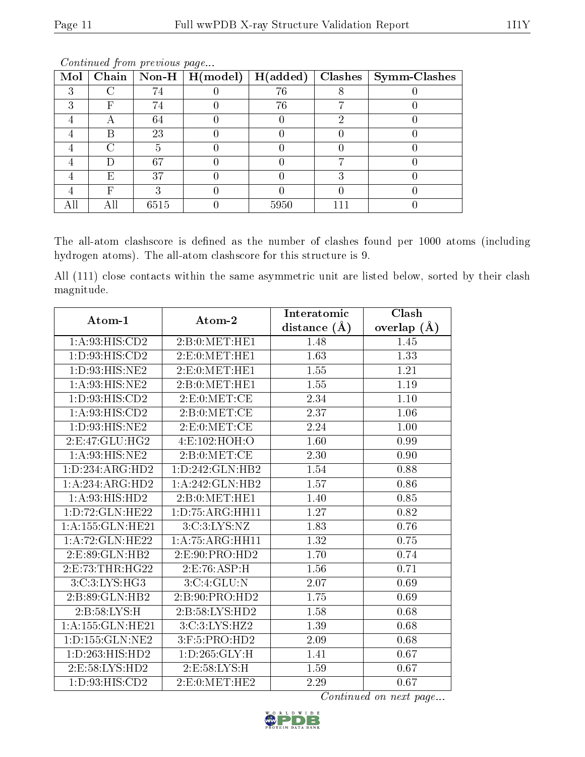| Mol | $\overline{\text{Chain}}$ |      | $\boxed{\hbox{ Non-H}\ \boxed{\hbox{ H}(\hbox{model})}}$ | H(added) | $\overline{\text{Clashes}}$   Symm-Clashes |
|-----|---------------------------|------|----------------------------------------------------------|----------|--------------------------------------------|
| ച   |                           | 74   |                                                          | 76       |                                            |
|     | F                         | 74   |                                                          | 76       |                                            |
|     |                           | 64   |                                                          |          |                                            |
|     | В                         | 23   |                                                          |          |                                            |
|     |                           |      |                                                          |          |                                            |
|     |                           | 67   |                                                          |          |                                            |
|     | E,                        | 37   |                                                          |          |                                            |
|     | F                         |      |                                                          |          |                                            |
|     |                           | 6515 |                                                          | 5950     |                                            |

The all-atom clashscore is defined as the number of clashes found per 1000 atoms (including hydrogen atoms). The all-atom clashscore for this structure is 9.

All (111) close contacts within the same asymmetric unit are listed below, sorted by their clash magnitude.

| Atom-1              | Atom-2                       | Interatomic       | Clash             |  |
|---------------------|------------------------------|-------------------|-------------------|--|
|                     |                              | distance $(\AA)$  | overlap $(A)$     |  |
| 1:A:93:HIS:CD2      | 2: B: 0: MET: HE1            | 1.48              | 1.45              |  |
| 1:D:93:HIS:CD2      | 2:E:0:MET:HE1                | 1.63              | 1.33              |  |
| 1:D:93:HIS:NE2      | 2: E: 0: MET: HE1            | 1.55              | 1.21              |  |
| 1:A:93:HIS:NE2      | 2: B: 0: MET: HE1            | 1.55              | 1.19              |  |
| 1:D:93:HIS:CD2      | 2: E: 0: MET: CE             | 2.34              | 1.10              |  |
| 1:A:93:HIS:CD2      | 2: B: 0:MET:CE               | 2.37              | 1.06              |  |
| 1:D:93:HIS:NE2      | 2: E: 0: MET: CE             | 2.24              | 1.00              |  |
| 2:E:47:GLU:HG2      | 4:E:102:HOH:O                | 1.60              | 0.99              |  |
| 1: A.93: HIS: NE2   | 2: B: 0: MET: CE             | 2.30              | 0.90              |  |
| 1:D:234:ARG:HD2     | 1: D: 242: GLN: HB2          | 1.54              | 0.88              |  |
| 1:A:234:ARG:HD2     | 1:A:242:GLN:HB2              | 1.57              | 0.86              |  |
| 1:A:93:HIS:HD2      | 2: B: 0: MET: HE1            | 1.40              | 0.85              |  |
| 1:D:72:GLN:HE22     | 1: D: 75: ARG: HH11          | $\overline{1.27}$ | $\overline{0.82}$ |  |
| 1:A:155:GLN:HE21    | 3: C:3: LYS: NZ              | 1.83              | 0.76              |  |
| 1:A:72:GLN:HE22     | $1:A:75:A\overline{RG:HH11}$ | 1.32              | 0.75              |  |
| 2:E:89:GLN:HB2      | 2: E: 90: PRO: HD2           | 1.70              | 0.74              |  |
| 2:E:73:THR:HG22     | 2:E:76:ASP:H                 | 1.56              | 0.71              |  |
| 3: C: 3: LYS: HG3   | 3:C:4:GLU:N                  | 2.07              | 0.69              |  |
| 2:B:89:GLN:HB2      | 2:B:90:PRO:HD2               | 1.75              | 0.69              |  |
| 2:B:58:LYS:H        | 2:B:58:LYS:HD2               | 1.58              | 0.68              |  |
| 1:A:155:GLN:HE21    | 3:C:3:LYS:HZ2                | 1.39              | 0.68              |  |
| 1: D: 155: GLN: NE2 | 3:F:5:PRO:HD2                | 2.09              | 0.68              |  |
| 1:D:263:HIS:HD2     | 1: D: 265: GLY: H            | 1.41              | 0.67              |  |
| 2: E: 58: LYS: HD2  | 2:E:58:LYS:H                 | 1.59              | 0.67              |  |
| 1: D: 93: HIS: CD2  | 2: E: 0: MET: HE2            | 2.29              | 0.67              |  |

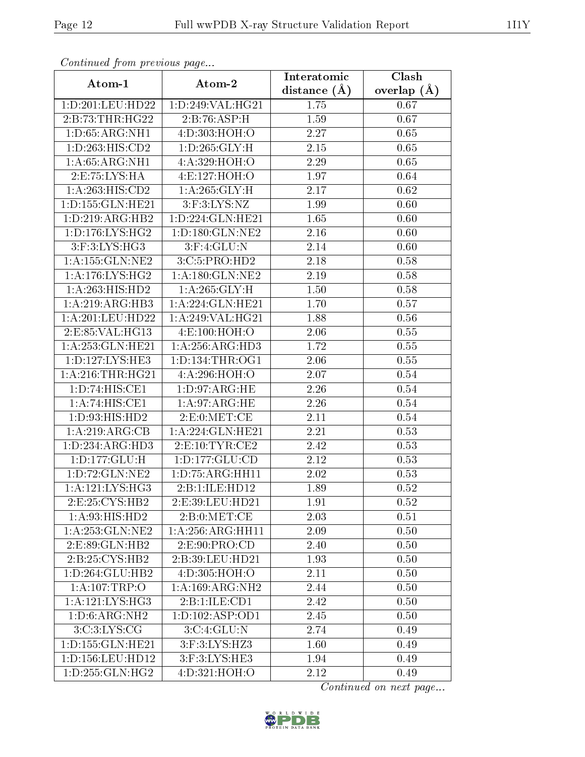| Continuea from previous page<br>Clash<br>Interatomic |                           |                   |               |  |  |
|------------------------------------------------------|---------------------------|-------------------|---------------|--|--|
| Atom-1                                               | Atom-2                    | distance $(\AA)$  | overlap $(A)$ |  |  |
| 1:D:201:LEU:HD22                                     | 1:D:249:VAL:HG21          | 1.75              | 0.67          |  |  |
| 2:B:73:THR:HG22                                      | $2:B:\overline{76:ASP:H}$ | 1.59              | 0.67          |  |  |
| 1: D:65: ARG:NH1                                     | 4:D:303:HOH:O             | 2.27              | 0.65          |  |  |
| 1:D:263:HIS:CD2                                      | 1: D: 265: GLY: H         | 2.15              | 0.65          |  |  |
| 1: A:65: ARG:NH1                                     | 4:A:329:HOH:O             | 2.29              | 0.65          |  |  |
| 2:E:75:LYS:HA                                        | 4:E:127:HOH:O             | 1.97              | 0.64          |  |  |
| 1:A:263:HIS:CD2                                      | 1: A:265: GLY: H          | 2.17              | 0.62          |  |  |
| 1:D:155:GLN:HE21                                     | $3:$ F: $3:LYS:NZ$        | 1.99              | 0.60          |  |  |
| 1: D: 219: ARG: HB2                                  | 1:D:224:GLN:HE21          | 1.65              | 0.60          |  |  |
| 1:D:176:LYS:HG2                                      | 1: D: 180: GLN: NE2       | 2.16              | 0.60          |  |  |
| 3:F:3:LYS:HG3                                        | $3:$ F:4:GLU:N            | 2.14              | 0.60          |  |  |
| 1: A: 155: GLN: NE2                                  | 3:C:5:PRO:HD2             | $\overline{2.18}$ | 0.58          |  |  |
| 1: A:176: LYS: HG2                                   | 1: A: 180: GLN: NE2       | 2.19              | 0.58          |  |  |
| 1: A:263:HIS:HD2                                     | 1: A:265: GLY: H          | 1.50              | 0.58          |  |  |
| 1: A:219: ARG: HB3                                   | 1:A:224:GLN:HE21          | 1.70              | 0.57          |  |  |
| 1: A:201:LEU:HD22                                    | 1: A:249: VAL:HG21        | 1.88              | 0.56          |  |  |
| 2:E:85:VAL:HG13                                      | 4:E:100:HOH:O             | 2.06              | 0.55          |  |  |
| 1:A:253:GLN:HE21                                     | 1:A:256:ARG:HD3           | 1.72              | 0.55          |  |  |
| 1: D: 127: LYS: HE3                                  | 1: D: 134: THR: OG1       | 2.06              | 0.55          |  |  |
| 1: A:216:THR:HG21                                    | 4:A:296:HOH:O             | 2.07              | 0.54          |  |  |
| $1:D:74: \overline{HIS:CE1}$                         | 1: D: 97: ARG: HE         | 2.26              | 0.54          |  |  |
| 1:A:74:HIS:CE1                                       | 1:A:97:ARG:HE             | 2.26              | 0.54          |  |  |
| 1:D:93:HIS:HD2                                       | 2: E: 0: MET: CE          | 2.11              | 0.54          |  |  |
| 1:A:219:ARG:CB                                       | 1:A:224:GLN:HE21          | 2.21              | 0.53          |  |  |
| 1:D:234:ARG:HD3                                      | 2: E: 10: TYR: CE2        | 2.42              | 0.53          |  |  |
| 1: D: 177: GLU: H                                    | 1: D: 177: GLU: CD        | 2.12              | 0.53          |  |  |
| $1: D: 72: \overline{GLN:NE2}$                       | 1: D: 75: ARG: HH11       | 2.02              | 0.53          |  |  |
| 1:A:121:LYS:HG3                                      | 2:B:1:ILE:HD12            | 1.89              | 0.52          |  |  |
| 2:E:25:CYS:HB2                                       | 2:E:39:LEU:HD21           | 1.91              | 0.52          |  |  |
| 1: A:93: HIS: HD2                                    | 2: B: 0: MET: CE          | 2.03              | 0.51          |  |  |
| 1: A:253: GLN:NE2                                    | 1: A:256: ARG:HH11        | 2.09              | 0.50          |  |  |
| 2: E: 89: GLN: HB2                                   | 2:E:90:PRO:CD             | 2.40              | 0.50          |  |  |
| 2:B:25:CYS:HB2                                       | 2:B:39:LEU:HD21           | 1.93              | 0.50          |  |  |
| 1:D:264:GLU:HB2                                      | 4:D:305:HOH:O             | 2.11              | 0.50          |  |  |
| 1: A:107:TRP:O                                       | 1:A:169:ARG:NH2           | 2.44              | 0.50          |  |  |
| 1: A: 121: LYS: HG3                                  | 2:B:1:ILE:CD1             | 2.42              | 0.50          |  |  |
| 1: D:6: ARG:NH2                                      | 1: D: 102: ASP: OD1       | 2.45              | 0.50          |  |  |
| 3:C:3:LYS:CG                                         | 3:C:4:GLU:N               | 2.74              | 0.49          |  |  |
| 1: D: 155: GLN: HE21                                 | 3:F:3:LYS:HZ3             | 1.60              | 0.49          |  |  |
| 1:D:156:LEU:HD12                                     | 3:F:3:LYS:HE3             | 1.94              | 0.49          |  |  |
| 1: D: 255: GLN: HG2                                  | 4:D:321:HOH:O             | 2.12              | 0.49          |  |  |

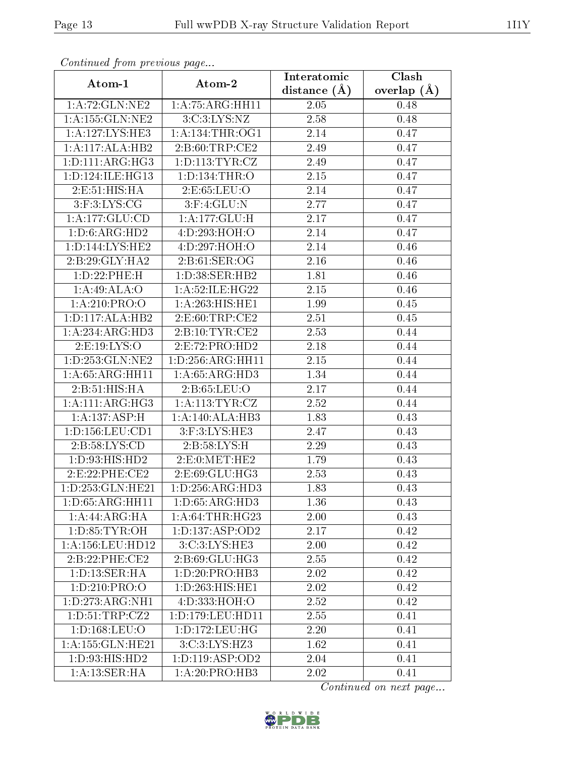| Continuea from previous page         |                                     | Interatomic    | Clash         |  |
|--------------------------------------|-------------------------------------|----------------|---------------|--|
| Atom-1                               | Atom-2                              | distance $(A)$ | overlap $(A)$ |  |
| 1:A:72:GLN:NE2                       | 1: A: 75: ARG: HH11                 | 2.05           | 0.48          |  |
| 1: A: 155: GLN: NE2                  | 3: C: 3: LYS: NZ                    | 2.58           | 0.48          |  |
| 1: A: 127: LYS: HE3                  | 1: A: 134: THR: OG1                 | 2.14           | 0.47          |  |
| 1:A:117:ALA:HB2                      | 2:B:60:TRP:CE2                      | 2.49           | 0.47          |  |
| 1: D: 111: ARG: HG3                  | 1: D: 113: TYR: CZ                  | 2.49           | 0.47          |  |
| 1: D: 124: ILE: HG13                 | 1:D:134:THR:O                       | 2.15           | 0.47          |  |
| 2:E:51:HIS:HA                        | 2: E: 65: LEU: O                    | 2.14           | 0.47          |  |
| $3:$ F: $3:LYS:CG$                   | $3:$ F: $4:$ GLU:N                  | 2.77           | 0.47          |  |
| 1: A: 177: GLU: CD                   | $1:A:177:G\overline{\mathrm{LU:H}}$ | 2.17           | 0.47          |  |
| 1:D:6:ARG:HD2                        | 4:D:293:HOH:O                       | 2.14           | 0.47          |  |
| 1: D: 144: LYS: HE2                  | 4:D:297:HOH:O                       | 2.14           | 0.46          |  |
| $2:B:29:GLY:H\overline{A2}$          | 2: B:61: SER:OG                     | 2.16           | 0.46          |  |
| 1: D: 22: PHE:H                      | 1: D:38: SER: HB2                   | 1.81           | 0.46          |  |
| 1:A:49:ALA:O                         | 1: A:52: ILE: HG22                  | 2.15           | 0.46          |  |
| 1:A:210:PRO:O                        | 1:A:263:HIS:HE1                     | 1.99           | 0.45          |  |
| 1: D: 117: ALA: HB2                  | 2: E:60:TRP:CE2                     | 2.51           | 0.45          |  |
| 1:A:234:ARG:HD3                      | 2:Bi:10:TYR:CE2                     | 2.53           | 0.44          |  |
| 2:E:19:LYS:O                         | 2: E: 72: PRO: HD2                  | 2.18           | 0.44          |  |
| 1: D: 253: GLN: NE2                  | 1:D:256:ARG:HH11                    | 2.15           | 0.44          |  |
| 1: A:65: ARG:HH11                    | 1: A:65: ARG:HD3                    | 1.34           | 0.44          |  |
| 2:B:51:HIS:HA                        | 2:B:65:LEU:O                        | 2.17           | 0.44          |  |
| 1: A:111:ARG:HG3                     | 1: A: 113: TYR: CZ                  | 2.52           | 0.44          |  |
| 1:A:137:ASP:H                        | 1:A:140:ALA:HB3                     | 1.83           | 0.43          |  |
| 1: D: 156: LEU: CD1                  | $3:$ F: $3:LYS:HE3$                 | 2.47           | 0.43          |  |
| 2: B:58: LYS:CD                      | 2:B:58:LYS:H                        | 2.29           | 0.43          |  |
| 1:D:93:HIS:HD2                       | 2: E: 0: MET: HE2                   | 1.79           | 0.43          |  |
| 2:E:22:PHE:CE2                       | 2:E:69:GLU:HG3                      | 2.53           | 0.43          |  |
| 1:D:253:GLN:HE21                     | 1:D:256:ARG:HD3                     | 1.83           | 0.43          |  |
| 1: D:65: ARG:HH11                    | 1:D:65:ARG:HD3                      | 1.36           | 0.43          |  |
| 1:A:44:ARG:HA                        | 1: A:64:THR:HG23                    | 2.00           | 0.43          |  |
| 1: D: 85: TYR: OH                    | 1: D: 137: ASP: OD2                 | 2.17           | 0.42          |  |
| $1: A: 156:$ LEU:HD $12$             | 3:C:3:LYS:HE3                       | 2.00           | 0.42          |  |
| 2:B:22:PHE:CE2                       | 2: B:69: GLU: HG3                   | 2.55           | 0.42          |  |
| $1: D: 13: \overline{\text{SER:H}}A$ | 1:D:20:PRO:HB3                      | 2.02           | 0.42          |  |
| 1: D: 210: PRO: O                    | 1: D: 263: HIS: HE1                 | 2.02           | 0.42          |  |
| 1:D:273:ARG:NH1                      | 4:D:333:HOH:O                       | 2.52           | 0.42          |  |
| 1: D: 51: TRP: CZ2                   | 1: D: 179: LEU: HD11                | 2.55           | 0.41          |  |
| 1: D: 168: LEU: O                    | 1:D:172:LEU:HG                      | 2.20           | 0.41          |  |
| 1:A:155:GLN:HE21                     | 3:C:3:LYS:HZ3                       | 1.62           | 0.41          |  |
| 1:D:93:HIS:HD2                       | 1: D: 119: ASP: OD2                 | 2.04           | 0.41          |  |
| 1:A:13:SER:HA                        | $1:A:20:P\overline{RO:H}B3$         | 2.02           | 0.41          |  |

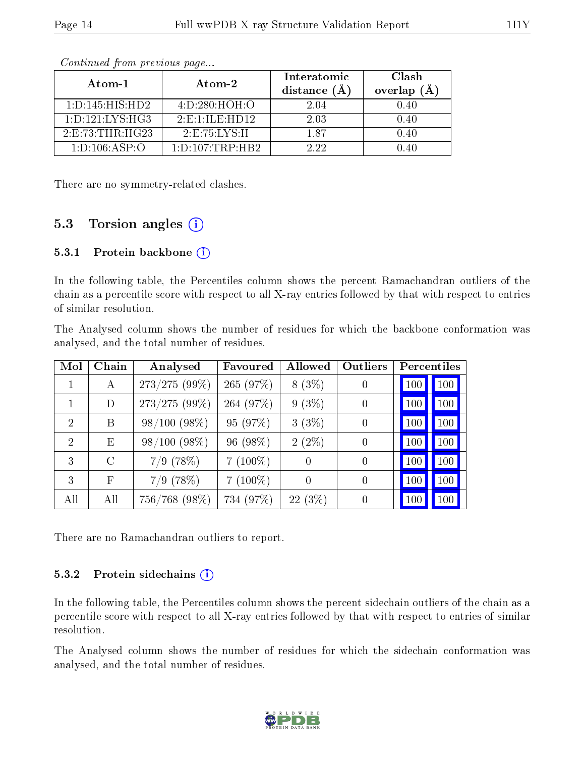| Atom-1              | Atom-2                                        | Interatomic<br>distance $(A)$ | Clash<br>overlap<br>(A) |
|---------------------|-----------------------------------------------|-------------------------------|-------------------------|
| 1: D: 145: HIS: HD2 | 4: D: 280: HOH: O                             | 2.04                          | 0.40                    |
| 1: D: 121: LYS: HG3 | $2 \tcdot E \cdot 1 \cdot I L E \cdot H D 12$ | 2.03                          | 0.40                    |
| 2: E: 73: THR: HG23 | 2: E: 75: LYS: H                              | 187                           | 0.40                    |
| 1: D: 106: ASP: O   | 1: D: 107: TRP: HB2                           | 2.22                          | በ 4በ                    |

There are no symmetry-related clashes.

#### 5.3 Torsion angles (i)

#### 5.3.1 Protein backbone  $(i)$

In the following table, the Percentiles column shows the percent Ramachandran outliers of the chain as a percentile score with respect to all X-ray entries followed by that with respect to entries of similar resolution.

The Analysed column shows the number of residues for which the backbone conformation was analysed, and the total number of residues.

| Mol                         | Chain         | Analysed        | Favoured   | Allowed   | Outliers       | Percentiles    |
|-----------------------------|---------------|-----------------|------------|-----------|----------------|----------------|
|                             | A             | 273/275 (99%)   | 265 (97%)  | $8(3\%)$  | $\theta$       | 100<br>100     |
|                             | D             | $273/275(99\%)$ | 264 (97%)  | $9(3\%)$  | $\overline{0}$ | 100<br>100     |
| $\mathcal{D}_{\mathcal{L}}$ | B             | $98/100(98\%)$  | 95 (97%)   | 3(3%)     | $\overline{0}$ | 100<br>100     |
| $\mathcal{D}$               | E             | $98/100(98\%)$  | 96 (98%)   | $2(2\%)$  | $\overline{0}$ | 100<br>100     |
| 3                           | $\mathcal{C}$ | $7/9$ (78%)     | $7(100\%)$ | $\theta$  | $\overline{0}$ | 100<br>100     |
| 3                           | F             | $7/9$ (78%)     | $7(100\%)$ | $\theta$  | $\overline{0}$ | 100<br>100     |
| All                         | All           | 756/768 (98%)   | 734 (97%)  | $22(3\%)$ | $\overline{0}$ | 100<br>$100\,$ |

There are no Ramachandran outliers to report.

#### 5.3.2 Protein sidechains  $(i)$

In the following table, the Percentiles column shows the percent sidechain outliers of the chain as a percentile score with respect to all X-ray entries followed by that with respect to entries of similar resolution.

The Analysed column shows the number of residues for which the sidechain conformation was analysed, and the total number of residues.

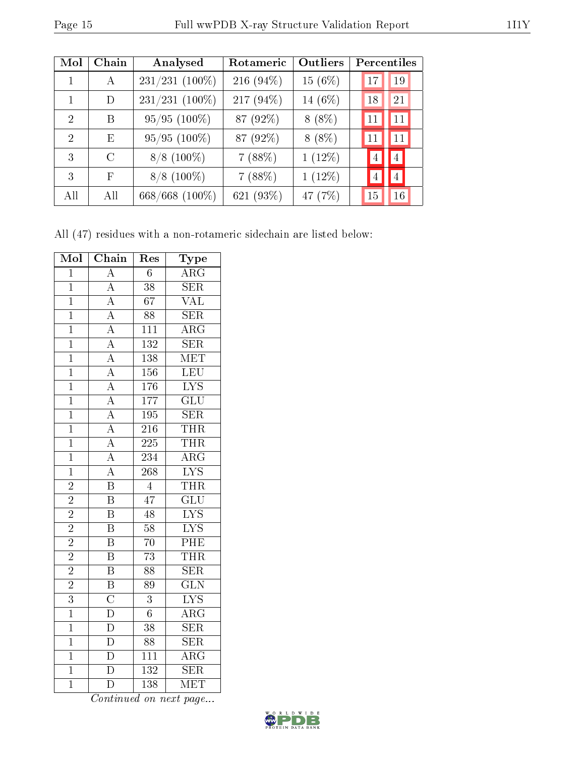| $\operatorname{Mol}$ | Chain                       | Analysed       | Rotameric    | <b>Outliers</b> | Percentiles |                |
|----------------------|-----------------------------|----------------|--------------|-----------------|-------------|----------------|
| 1                    | $\bf{A}$                    | 231/231 (100%) | 216 $(94\%)$ | 15 $(6%)$       | 17          | 19             |
| 1                    | D                           | 231/231 (100%) | 217 (94%)    | 14 (6%)         | 18          | 21             |
| 2                    | R                           | $95/95(100\%)$ | 87 (92%)     | $8(8\%)$        | 11          | 11             |
| 2                    | E                           | $95/95(100\%)$ | 87 (92%)     | $8(8\%)$        | 11          | 11             |
| 3                    | $\mathcal{C}_{\mathcal{C}}$ | $8/8$ (100%)   | 7(88%)       | $1(12\%)$       | 4           | $\overline{4}$ |
| 3                    | F                           | $8/8$ (100%)   | 7(88%)       | $1(12\%)$       | 4           | $\overline{4}$ |
| All                  | All                         | 668/668 (100%) | 621 (93%)    | 47 (7%)         | 15          | 16             |

All (47) residues with a non-rotameric sidechain are listed below:

| Mol            | Chain                                                                                                                                                                                                                   | Res              | ${\rm \bar{Type}}$        |
|----------------|-------------------------------------------------------------------------------------------------------------------------------------------------------------------------------------------------------------------------|------------------|---------------------------|
| $\overline{1}$ | $\overline{A}$                                                                                                                                                                                                          | $\overline{6}$   | $\overline{\rm ARG}$      |
| $\overline{1}$ | $\frac{\overline{A}}{\overline{A}}$                                                                                                                                                                                     | $\overline{38}$  | <b>SER</b>                |
| $\overline{1}$ |                                                                                                                                                                                                                         | $\overline{67}$  | $\overline{\text{VAL}}$   |
| $\mathbf 1$    |                                                                                                                                                                                                                         | 88               | SER                       |
| $\overline{1}$ |                                                                                                                                                                                                                         | $1\overline{11}$ | $\overline{\rm ARG}$      |
| $\overline{1}$ |                                                                                                                                                                                                                         | 132              | $\overline{\text{SER}}$   |
| $\overline{1}$ |                                                                                                                                                                                                                         | 138              | MET                       |
| $\overline{1}$ |                                                                                                                                                                                                                         | 156              | LEU                       |
| $\overline{1}$ |                                                                                                                                                                                                                         | 176              | $\overline{\text{LYS}}$   |
| $\overline{1}$ | $\frac{\overline{A}}{\overline{A}}$ $\frac{\overline{A}}{\overline{A}}$ $\frac{\overline{A}}{\overline{A}}$ $\frac{\overline{A}}{\overline{A}}$ $\frac{\overline{A}}{\overline{A}}$ $\frac{\overline{A}}{\overline{A}}$ | $\overline{177}$ | $\overline{\text{GLU}}$   |
| $\overline{1}$ |                                                                                                                                                                                                                         | $\overline{195}$ | SER                       |
| $\mathbf 1$    |                                                                                                                                                                                                                         | $\overline{216}$ | <b>THR</b>                |
| $\overline{1}$ |                                                                                                                                                                                                                         | $\overline{225}$ | <b>THR</b>                |
| $\overline{1}$ |                                                                                                                                                                                                                         | 234              | $\overline{\rm{ARG}}$     |
| $\overline{1}$ | $\frac{\overline{A}}{B}$                                                                                                                                                                                                | $\overline{268}$ | $\overline{\text{LYS}}$   |
| $\overline{2}$ |                                                                                                                                                                                                                         | $\overline{4}$   | <b>THR</b>                |
| $\overline{2}$ | $\overline{\mathrm{B}}$                                                                                                                                                                                                 | $\overline{47}$  | $\overline{\mathrm{GLU}}$ |
| $\overline{2}$ | $\overline{\mathbf{B}}$                                                                                                                                                                                                 | 48               | $\overline{\text{LYS}}$   |
| $\overline{2}$ | $\overline{\mathrm{B}}$                                                                                                                                                                                                 | $\overline{58}$  | $\overline{\text{LYS}}$   |
| $\overline{2}$ | $\overline{\mathrm{B}}$                                                                                                                                                                                                 | $\overline{70}$  | PHE                       |
| $\overline{2}$ | $\overline{B}$                                                                                                                                                                                                          | $\overline{73}$  | <b>THR</b>                |
| $\overline{2}$ | $\overline{B}$                                                                                                                                                                                                          | $\overline{88}$  | $\overline{\text{SER}}$   |
| $\overline{2}$ | $\overline{\mathbf{B}}$                                                                                                                                                                                                 | 89               | $\overline{\text{GLN}}$   |
| $\overline{3}$ | $\overline{C}$                                                                                                                                                                                                          | 3                | $\overline{\text{LYS}}$   |
| $\overline{1}$ | $\frac{\overline{D}}{\overline{D}}$                                                                                                                                                                                     | $\overline{6}$   | $\overline{\rm{ARG}}$     |
| $\overline{1}$ |                                                                                                                                                                                                                         | $\overline{38}$  | <b>SER</b>                |
| $\overline{1}$ |                                                                                                                                                                                                                         | 88               | $\overline{\text{SER}}$   |
| $\overline{1}$ | $\overline{\mathbb{D}}$                                                                                                                                                                                                 | $\overline{111}$ | $\overline{\rm{ARG}}$     |
| $\overline{1}$ | $\overline{\rm D}$                                                                                                                                                                                                      | 132              | $\overline{\text{SER}}$   |
| $\overline{1}$ | $\overline{\rm D}$                                                                                                                                                                                                      | 138              | $\overline{\text{MET}}$   |

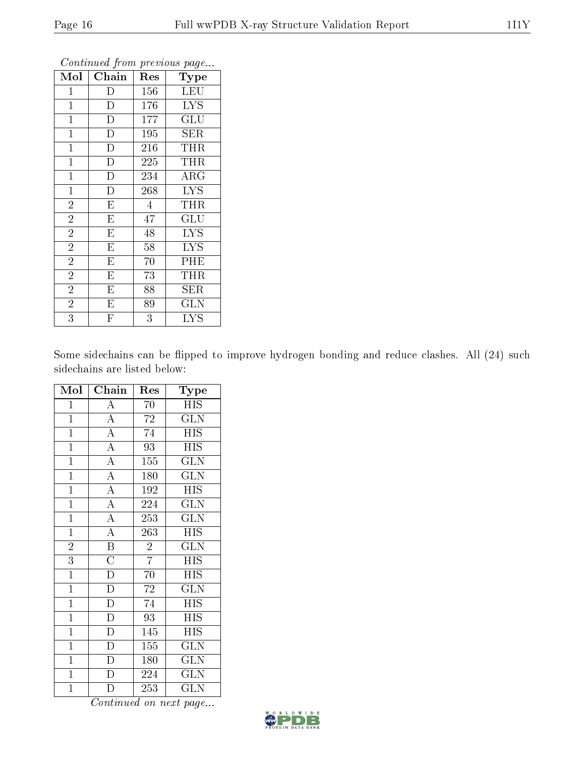| Mol            | Chain                   | Res            | Type                    |
|----------------|-------------------------|----------------|-------------------------|
| $\mathbf 1$    | D                       | 156            | <b>LEU</b>              |
| $\mathbf 1$    | D                       | 176            | LYS                     |
| $\mathbf{1}$   | D                       | 177            | GLU                     |
| $\mathbf 1$    | D                       | 195            | SER                     |
| $\mathbf{1}$   | $\overline{D}$          | 216            | THR                     |
| $\mathbf{1}$   | D                       | 225            | <b>THR</b>              |
| $\mathbf{1}$   | $\overline{\rm D}$      | 234            | $\rm{ARG}$              |
| $\overline{1}$ | $\overline{\rm D}$      | 268            | $\overline{\text{LYS}}$ |
| $\overline{2}$ | $\overline{\mathrm{E}}$ | $\overline{4}$ | THR                     |
| $\overline{2}$ | $\overline{E}$          | 47             | $\operatorname{GLU}$    |
| $\overline{2}$ | $\overline{\mathrm{E}}$ | 48             | <b>LYS</b>              |
| $\overline{2}$ | $\overline{\mathrm{E}}$ | 58             | <b>LYS</b>              |
| $\overline{2}$ | E                       | 70             | PHE                     |
| $\overline{2}$ | E                       | 73             | THR                     |
| $\overline{2}$ | E                       | 88             | SER                     |
| $\overline{2}$ | Е                       | 89             | GLN                     |
| $\overline{3}$ | F                       | $\overline{3}$ | <b>LYS</b>              |

Some sidechains can be flipped to improve hydrogen bonding and reduce clashes. All (24) such sidechains are listed below:

| Mol            | $\overline{\text{Chain}}$ | Res             | Type                      |
|----------------|---------------------------|-----------------|---------------------------|
| $\mathbf{1}$   | $\overline{A}$            | 70              | $\overline{H}$ IS         |
| $\overline{1}$ | $\overline{A}$            | $\overline{72}$ | $\overline{\text{GLN}}$   |
| $\overline{1}$ | $\overline{A}$            | 74              | $\overline{H}$ IS         |
| $\overline{1}$ | $\frac{1}{A}$             | $\overline{93}$ | $\overline{\mathrm{HIS}}$ |
| $\overline{1}$ | $\overline{A}$            | 155             | GLN                       |
| $\overline{1}$ | $\overline{A}$            | 180             | <b>GLN</b>                |
| $\overline{1}$ | $\overline{A}$            | 192             | $\overline{HIS}$          |
| $\mathbf{1}$   | $\frac{1}{\overline{A}}$  | 224             | GLN                       |
| $\overline{1}$ | $\overline{A}$            | 253             | $\overline{\text{GLN}}$   |
| $\mathbf{1}$   | $\overline{A}$            | 263             | $\overline{\rm HIS}$      |
| $\overline{2}$ | $\overline{\mathbf{B}}$   | $\sqrt{2}$      | $\widetilde{{\rm GLN}}$   |
| 3              | $\overline{\rm C}$        | $\overline{7}$  | <b>HIS</b>                |
| $\overline{1}$ | $\frac{1}{D}$             | $\overline{70}$ | $\overline{HIS}$          |
| $\overline{1}$ | $\overline{D}$            | 72              | $\overline{\text{GLN}}$   |
| $\mathbf{1}$   | $\overline{\rm D}$        | 74              | <b>HIS</b>                |
| $\mathbf{1}$   | $\frac{\overline{D}}{D}$  | 93              | <b>HIS</b>                |
| $\overline{1}$ |                           | 145             | <b>HIS</b>                |
| $\mathbf{1}$   | $\overline{D}$            | 155             | <b>GLN</b>                |
| $\overline{1}$ | $\overline{D}$            | 180             | $\overline{\text{GLN}}$   |
| $\mathbf{1}$   | $\overline{\rm D}$        | 224             | <b>GLN</b>                |
| $\overline{1}$ | D                         | 253             | $\rm GL\overline{N}$      |

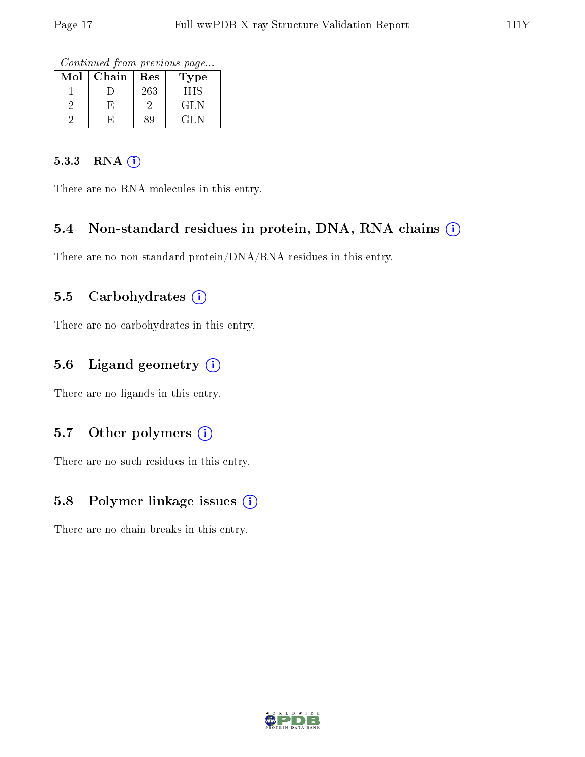Continued from previous page...

| Mol | Chain | Res | 'ype |
|-----|-------|-----|------|
|     |       | 263 | HIS  |
|     |       |     | GLN  |
|     |       |     |      |

#### 5.3.3 RNA [O](https://www.wwpdb.org/validation/2017/XrayValidationReportHelp#rna)i

There are no RNA molecules in this entry.

#### 5.4 Non-standard residues in protein, DNA, RNA chains (i)

There are no non-standard protein/DNA/RNA residues in this entry.

#### 5.5 Carbohydrates (i)

There are no carbohydrates in this entry.

#### 5.6 Ligand geometry (i)

There are no ligands in this entry.

#### 5.7 [O](https://www.wwpdb.org/validation/2017/XrayValidationReportHelp#nonstandard_residues_and_ligands)ther polymers (i)

There are no such residues in this entry.

#### 5.8 Polymer linkage issues  $(i)$

There are no chain breaks in this entry.

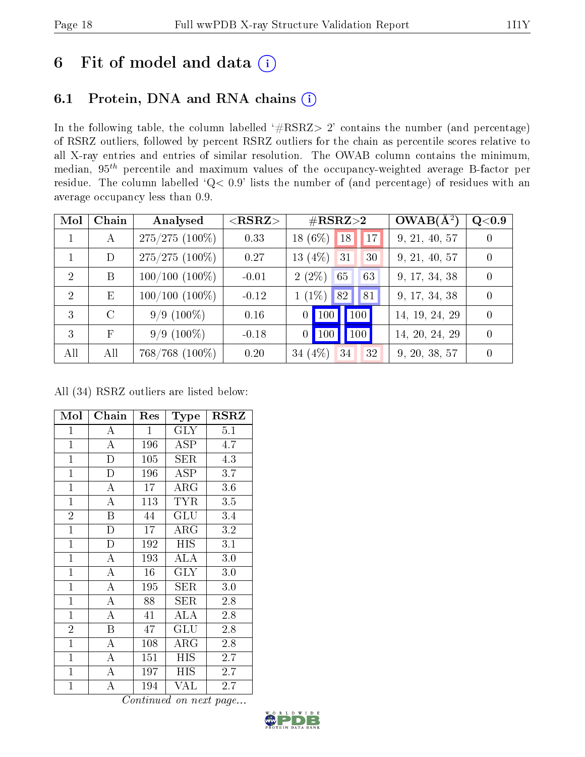## 6 Fit of model and data  $(i)$

#### 6.1 Protein, DNA and RNA chains  $(i)$

In the following table, the column labelled  $#RSRZ> 2'$  contains the number (and percentage) of RSRZ outliers, followed by percent RSRZ outliers for the chain as percentile scores relative to all X-ray entries and entries of similar resolution. The OWAB column contains the minimum, median,  $95<sup>th</sup>$  percentile and maximum values of the occupancy-weighted average B-factor per residue. The column labelled ' $Q< 0.9$ ' lists the number of (and percentage) of residues with an average occupancy less than 0.9.

| Mol            | Chain      | Analysed         | ${ <\hspace{-1.5pt}{\mathrm{RSRZ}} \hspace{-1.5pt}>}$ | $\#\text{RSRZ}{>}2$                  | $OWAB(A^2)$    | Q <sub>0.9</sub> |
|----------------|------------|------------------|-------------------------------------------------------|--------------------------------------|----------------|------------------|
| 1              | А          | $275/275(100\%)$ | 0.33                                                  | 18 $(6\%)$<br>17<br>18               | 9, 21, 40, 57  | $\Omega$         |
|                | D          | $275/275(100\%)$ | 0.27                                                  | 13 $(4\%)$<br>31<br>30               | 9, 21, 40, 57  | $\theta$         |
| $\mathcal{D}$  | B          | $100/100(100\%)$ | $-0.01$                                               | $2(2\%)$<br>63<br>65                 | 9, 17, 34, 38  | 0                |
| $\overline{2}$ | E          | $100/100(100\%)$ | $-0.12$                                               | 82 <br>$1(1\%)$<br>81                | 9, 17, 34, 38  |                  |
| 3              | $\Gamma$   | $9/9(100\%)$     | 0.16                                                  | 100<br>$\vert$ 100<br>$\overline{0}$ | 14, 19, 24, 29 | $\Omega$         |
| 3              | $_{\rm F}$ | $9/9(100\%)$     | $-0.18$                                               | 100<br>$\vert$ 100<br>$\overline{0}$ | 14, 20, 24, 29 | $\theta$         |
| All            | All        | $768/768$ (100%) | 0.20                                                  | 34 $(4%)$<br>32<br>34                | 9, 20, 38, 57  |                  |

All (34) RSRZ outliers are listed below:

| Mol            | Chain                   | Res          | $_{\rm Type}$ | <b>RSRZ</b> |
|----------------|-------------------------|--------------|---------------|-------------|
| $\overline{1}$ | А                       | $\mathbf{1}$ | <b>GLY</b>    | 5.1         |
| $\mathbf{1}$   | $\mathbf{A}$            | 196          | <b>ASP</b>    | 4.7         |
| $\mathbf{1}$   | $\overline{\rm D}$      | 105          | <b>SER</b>    | 4.3         |
| $\mathbf{1}$   | $\overline{D}$          | 196          | ASP           | 3.7         |
| $\mathbf{1}$   | $\overline{\rm A}$      | 17           | $\rm{ARG}$    | 3.6         |
| $\overline{1}$ | $\overline{\rm A}$      | 113          | <b>TYR</b>    | 3.5         |
| $\overline{2}$ | $\overline{\mathrm{B}}$ | 44           | GLU           | 3.4         |
| $\mathbf{1}$   | $\overline{\rm D}$      | 17           | $\rm{ARG}$    | 3.2         |
| $\overline{1}$ | $\overline{D}$          | 192          | <b>HIS</b>    | 3.1         |
| $\mathbf{1}$   | A                       | 193          | ALA           | 3.0         |
| $\mathbf{1}$   | A                       | 16           | <b>GLY</b>    | 3.0         |
| $\overline{1}$ | $\overline{\rm A}$      | 195          | SER           | 3.0         |
| $\mathbf{1}$   | $\overline{A}$          | 88           | SER           | 2.8         |
| $\mathbf{1}$   | $\overline{A}$          | 41           | ALA           | 2.8         |
| $\overline{2}$ | $\overline{\mathrm{B}}$ | 47           | GLU           | 2.8         |
| $\mathbf{1}$   | A                       | 108          | $\rm{ARG}$    | 2.8         |
| $\mathbf{1}$   | A                       | 151          | HIS           | 2.7         |
| $\mathbf{1}$   | A                       | 197          | HIS           | 2.7         |
| $\mathbf{1}$   | A                       | 194          | VAL           | 2.7         |